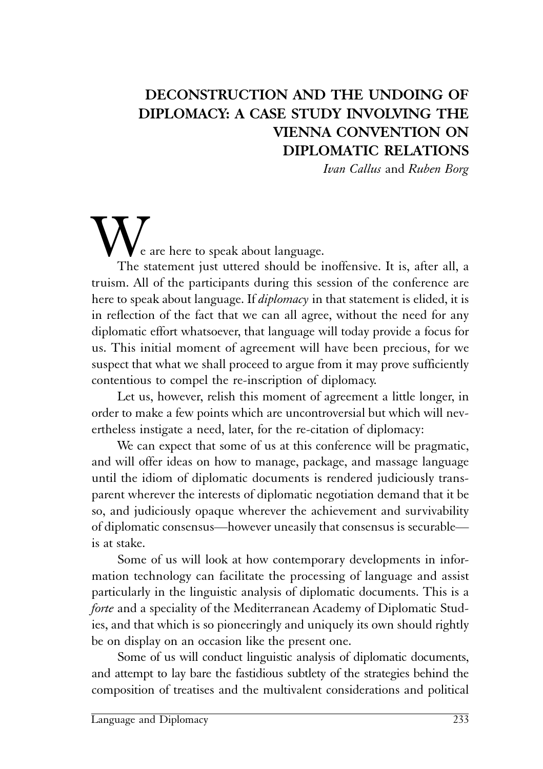## **DECONSTRUCTION AND THE UNDOING OF DIPLOMACY: A CASE STUDY INVOLVING THE VIENNA CONVENTION ON DIPLOMATIC RELATIONS**

*Ivan Callus* and *Ruben Borg*

# e are here to speak about language.

The statement just uttered should be inoffensive. It is, after all, a truism. All of the participants during this session of the conference are here to speak about language. If *diplomacy* in that statement is elided, it is in reflection of the fact that we can all agree, without the need for any diplomatic effort whatsoever, that language will today provide a focus for us. This initial moment of agreement will have been precious, for we suspect that what we shall proceed to argue from it may prove sufficiently contentious to compel the re-inscription of diplomacy.

Let us, however, relish this moment of agreement a little longer, in order to make a few points which are uncontroversial but which will nevertheless instigate a need, later, for the re-citation of diplomacy:

We can expect that some of us at this conference will be pragmatic, and will offer ideas on how to manage, package, and massage language until the idiom of diplomatic documents is rendered judiciously transparent wherever the interests of diplomatic negotiation demand that it be so, and judiciously opaque wherever the achievement and survivability of diplomatic consensus—however uneasily that consensus is securable is at stake.

Some of us will look at how contemporary developments in information technology can facilitate the processing of language and assist particularly in the linguistic analysis of diplomatic documents. This is a *forte* and a speciality of the Mediterranean Academy of Diplomatic Studies, and that which is so pioneeringly and uniquely its own should rightly be on display on an occasion like the present one.

Some of us will conduct linguistic analysis of diplomatic documents, and attempt to lay bare the fastidious subtlety of the strategies behind the composition of treatises and the multivalent considerations and political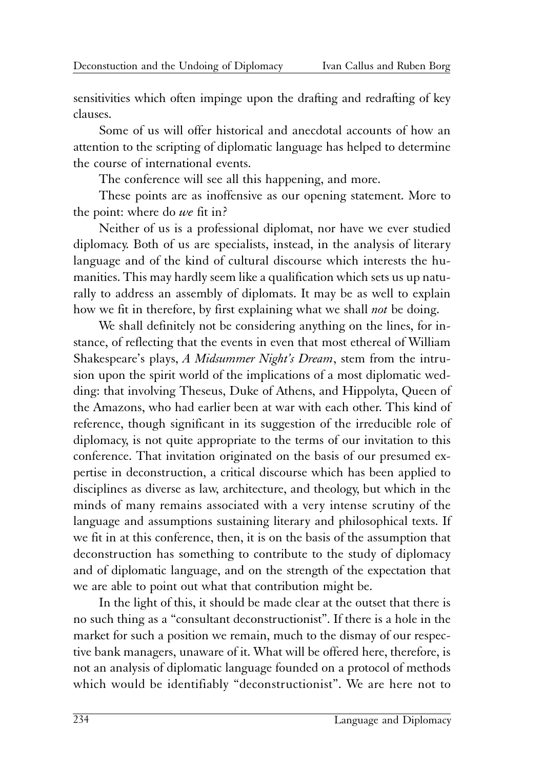sensitivities which often impinge upon the drafting and redrafting of key clauses.

Some of us will offer historical and anecdotal accounts of how an attention to the scripting of diplomatic language has helped to determine the course of international events.

The conference will see all this happening, and more.

These points are as inoffensive as our opening statement. More to the point: where do *we* fit in?

Neither of us is a professional diplomat, nor have we ever studied diplomacy. Both of us are specialists, instead, in the analysis of literary language and of the kind of cultural discourse which interests the humanities. This may hardly seem like a qualification which sets us up naturally to address an assembly of diplomats. It may be as well to explain how we fit in therefore, by first explaining what we shall *not* be doing.

We shall definitely not be considering anything on the lines, for instance, of reflecting that the events in even that most ethereal of William Shakespeare's plays, *A Midsummer Night's Dream*, stem from the intrusion upon the spirit world of the implications of a most diplomatic wedding: that involving Theseus, Duke of Athens, and Hippolyta, Queen of the Amazons, who had earlier been at war with each other. This kind of reference, though significant in its suggestion of the irreducible role of diplomacy, is not quite appropriate to the terms of our invitation to this conference. That invitation originated on the basis of our presumed expertise in deconstruction, a critical discourse which has been applied to disciplines as diverse as law, architecture, and theology, but which in the minds of many remains associated with a very intense scrutiny of the language and assumptions sustaining literary and philosophical texts. If we fit in at this conference, then, it is on the basis of the assumption that deconstruction has something to contribute to the study of diplomacy and of diplomatic language, and on the strength of the expectation that we are able to point out what that contribution might be.

In the light of this, it should be made clear at the outset that there is no such thing as a "consultant deconstructionist". If there is a hole in the market for such a position we remain, much to the dismay of our respective bank managers, unaware of it. What will be offered here, therefore, is not an analysis of diplomatic language founded on a protocol of methods which would be identifiably "deconstructionist". We are here not to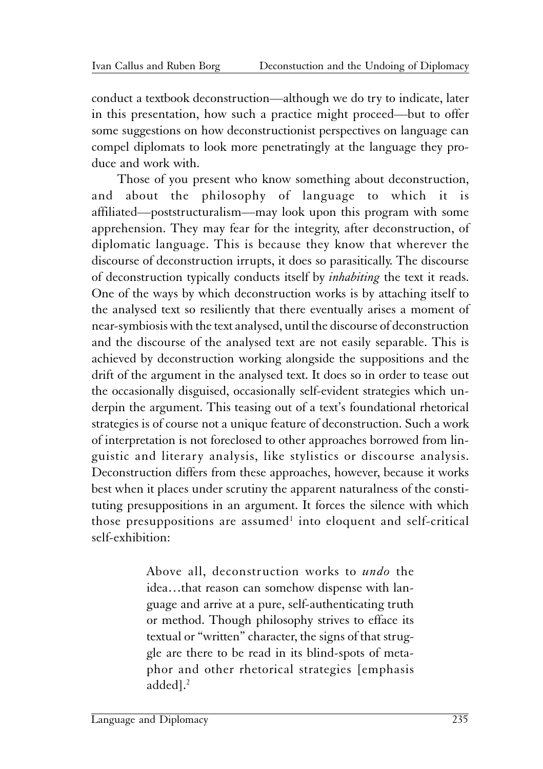conduct a textbook deconstruction—although we do try to indicate, later in this presentation, how such a practice might proceed—but to offer some suggestions on how deconstructionist perspectives on language can compel diplomats to look more penetratingly at the language they produce and work with.

Those of you present who know something about deconstruction, and about the philosophy of language to which it is affiliated—poststructuralism—may look upon this program with some apprehension. They may fear for the integrity, after deconstruction, of diplomatic language. This is because they know that wherever the discourse of deconstruction irrupts, it does so parasitically. The discourse of deconstruction typically conducts itself by *inhabiting* the text it reads. One of the ways by which deconstruction works is by attaching itself to the analysed text so resiliently that there eventually arises a moment of near-symbiosis with the text analysed, until the discourse of deconstruction and the discourse of the analysed text are not easily separable. This is achieved by deconstruction working alongside the suppositions and the drift of the argument in the analysed text. It does so in order to tease out the occasionally disguised, occasionally self-evident strategies which underpin the argument. This teasing out of a text's foundational rhetorical strategies is of course not a unique feature of deconstruction. Such a work of interpretation is not foreclosed to other approaches borrowed from linguistic and literary analysis, like stylistics or discourse analysis. Deconstruction differs from these approaches, however, because it works best when it places under scrutiny the apparent naturalness of the constituting presuppositions in an argument. It forces the silence with which those presuppositions are assumed<sup>1</sup> into eloquent and self-critical self-exhibition:

> Above all, deconstruction works to *undo* the idea…that reason can somehow dispense with language and arrive at a pure, self-authenticating truth or method. Though philosophy strives to efface its textual or "written" character, the signs of that struggle are there to be read in its blind-spots of metaphor and other rhetorical strategies [emphasis added].<sup>2</sup>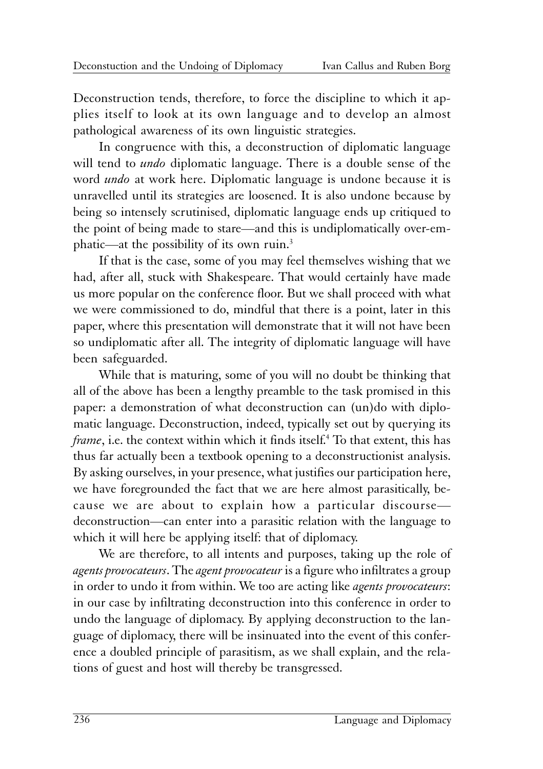Deconstruction tends, therefore, to force the discipline to which it applies itself to look at its own language and to develop an almost pathological awareness of its own linguistic strategies.

In congruence with this, a deconstruction of diplomatic language will tend to *undo* diplomatic language. There is a double sense of the word *undo* at work here. Diplomatic language is undone because it is unravelled until its strategies are loosened. It is also undone because by being so intensely scrutinised, diplomatic language ends up critiqued to the point of being made to stare—and this is undiplomatically over-emphatic—at the possibility of its own ruin.3

If that is the case, some of you may feel themselves wishing that we had, after all, stuck with Shakespeare. That would certainly have made us more popular on the conference floor. But we shall proceed with what we were commissioned to do, mindful that there is a point, later in this paper, where this presentation will demonstrate that it will not have been so undiplomatic after all. The integrity of diplomatic language will have been safeguarded.

While that is maturing, some of you will no doubt be thinking that all of the above has been a lengthy preamble to the task promised in this paper: a demonstration of what deconstruction can (un)do with diplomatic language. Deconstruction, indeed, typically set out by querying its *frame*, i.e. the context within which it finds itself.4 To that extent, this has thus far actually been a textbook opening to a deconstructionist analysis. By asking ourselves, in your presence, what justifies our participation here, we have foregrounded the fact that we are here almost parasitically, because we are about to explain how a particular discourse deconstruction—can enter into a parasitic relation with the language to which it will here be applying itself: that of diplomacy.

We are therefore, to all intents and purposes, taking up the role of *agents provocateurs*. The *agent provocateur* is a figure who infiltrates a group in order to undo it from within. We too are acting like *agents provocateurs*: in our case by infiltrating deconstruction into this conference in order to undo the language of diplomacy. By applying deconstruction to the language of diplomacy, there will be insinuated into the event of this conference a doubled principle of parasitism, as we shall explain, and the relations of guest and host will thereby be transgressed.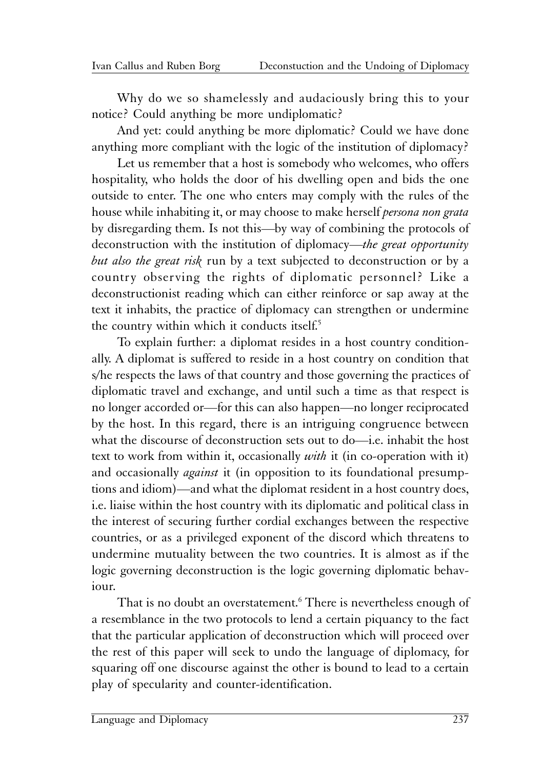Why do we so shamelessly and audaciously bring this to your notice? Could anything be more undiplomatic?

And yet: could anything be more diplomatic? Could we have done anything more compliant with the logic of the institution of diplomacy?

Let us remember that a host is somebody who welcomes, who offers hospitality, who holds the door of his dwelling open and bids the one outside to enter. The one who enters may comply with the rules of the house while inhabiting it, or may choose to make herself *persona non grata* by disregarding them. Is not this—by way of combining the protocols of deconstruction with the institution of diplomacy—*the great opportunity but also the great risk* run by a text subjected to deconstruction or by a country observing the rights of diplomatic personnel? Like a deconstructionist reading which can either reinforce or sap away at the text it inhabits, the practice of diplomacy can strengthen or undermine the country within which it conducts itself.<sup>5</sup>

To explain further: a diplomat resides in a host country conditionally. A diplomat is suffered to reside in a host country on condition that s/he respects the laws of that country and those governing the practices of diplomatic travel and exchange, and until such a time as that respect is no longer accorded or—for this can also happen—no longer reciprocated by the host. In this regard, there is an intriguing congruence between what the discourse of deconstruction sets out to do—i.e. inhabit the host text to work from within it, occasionally *with* it (in co-operation with it) and occasionally *against* it (in opposition to its foundational presumptions and idiom)—and what the diplomat resident in a host country does, i.e. liaise within the host country with its diplomatic and political class in the interest of securing further cordial exchanges between the respective countries, or as a privileged exponent of the discord which threatens to undermine mutuality between the two countries. It is almost as if the logic governing deconstruction is the logic governing diplomatic behaviour.

That is no doubt an overstatement.<sup>6</sup> There is nevertheless enough of a resemblance in the two protocols to lend a certain piquancy to the fact that the particular application of deconstruction which will proceed over the rest of this paper will seek to undo the language of diplomacy, for squaring off one discourse against the other is bound to lead to a certain play of specularity and counter-identification.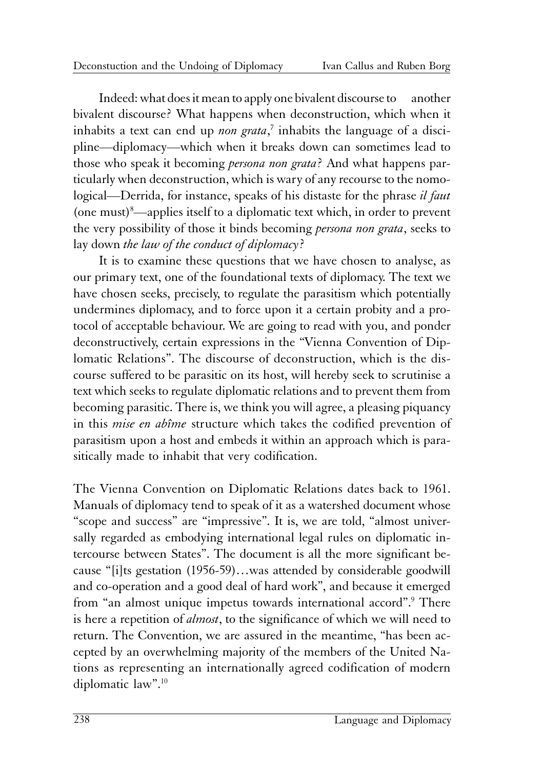Indeed: what does it mean to apply one bivalent discourse to another bivalent discourse? What happens when deconstruction, which when it inhabits a text can end up *non grata*,<sup>7</sup> inhabits the language of a discipline—diplomacy—which when it breaks down can sometimes lead to those who speak it becoming *persona non grata*? And what happens particularly when deconstruction, which is wary of any recourse to the nomological—Derrida, for instance, speaks of his distaste for the phrase *il faut* (one must)8 —applies itself to a diplomatic text which, in order to prevent the very possibility of those it binds becoming *persona non grata*, seeks to lay down *the law of the conduct of diplomacy*?

It is to examine these questions that we have chosen to analyse, as our primary text, one of the foundational texts of diplomacy. The text we have chosen seeks, precisely, to regulate the parasitism which potentially undermines diplomacy, and to force upon it a certain probity and a protocol of acceptable behaviour. We are going to read with you, and ponder deconstructively, certain expressions in the "Vienna Convention of Diplomatic Relations". The discourse of deconstruction, which is the discourse suffered to be parasitic on its host, will hereby seek to scrutinise a text which seeks to regulate diplomatic relations and to prevent them from becoming parasitic. There is, we think you will agree, a pleasing piquancy in this *mise en abîme* structure which takes the codified prevention of parasitism upon a host and embeds it within an approach which is parasitically made to inhabit that very codification.

The Vienna Convention on Diplomatic Relations dates back to 1961. Manuals of diplomacy tend to speak of it as a watershed document whose "scope and success" are "impressive". It is, we are told, "almost universally regarded as embodying international legal rules on diplomatic intercourse between States". The document is all the more significant because "[i]ts gestation (1956-59)…was attended by considerable goodwill and co-operation and a good deal of hard work", and because it emerged from "an almost unique impetus towards international accord".9 There is here a repetition of *almost*, to the significance of which we will need to return. The Convention, we are assured in the meantime, "has been accepted by an overwhelming majority of the members of the United Nations as representing an internationally agreed codification of modern diplomatic law".10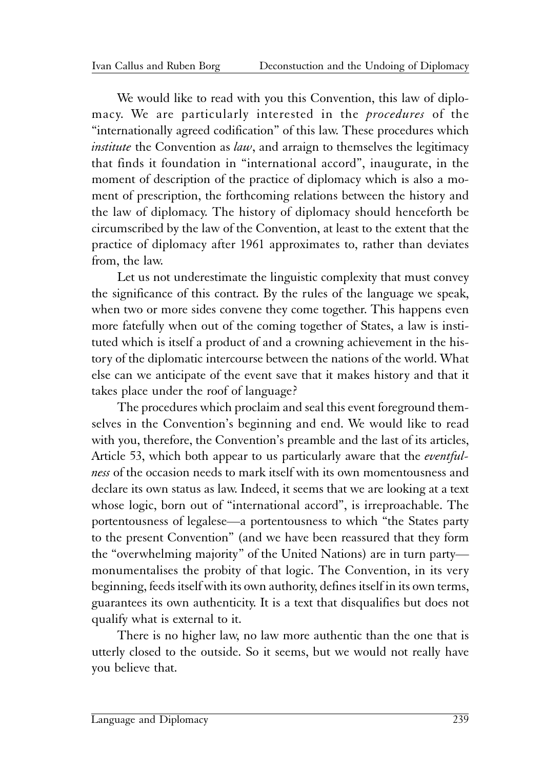We would like to read with you this Convention, this law of diplomacy. We are particularly interested in the *procedures* of the "internationally agreed codification" of this law. These procedures which *institute* the Convention as *law*, and arraign to themselves the legitimacy that finds it foundation in "international accord", inaugurate, in the moment of description of the practice of diplomacy which is also a moment of prescription, the forthcoming relations between the history and the law of diplomacy. The history of diplomacy should henceforth be circumscribed by the law of the Convention, at least to the extent that the practice of diplomacy after 1961 approximates to, rather than deviates from, the law.

Let us not underestimate the linguistic complexity that must convey the significance of this contract. By the rules of the language we speak, when two or more sides convene they come together. This happens even more fatefully when out of the coming together of States, a law is instituted which is itself a product of and a crowning achievement in the history of the diplomatic intercourse between the nations of the world. What else can we anticipate of the event save that it makes history and that it takes place under the roof of language?

The procedures which proclaim and seal this event foreground themselves in the Convention's beginning and end. We would like to read with you, therefore, the Convention's preamble and the last of its articles, Article 53, which both appear to us particularly aware that the *eventfulness* of the occasion needs to mark itself with its own momentousness and declare its own status as law. Indeed, it seems that we are looking at a text whose logic, born out of "international accord", is irreproachable. The portentousness of legalese—a portentousness to which "the States party to the present Convention" (and we have been reassured that they form the "overwhelming majority" of the United Nations) are in turn party monumentalises the probity of that logic. The Convention, in its very beginning, feeds itself with its own authority, defines itself in its own terms, guarantees its own authenticity. It is a text that disqualifies but does not qualify what is external to it.

There is no higher law, no law more authentic than the one that is utterly closed to the outside. So it seems, but we would not really have you believe that.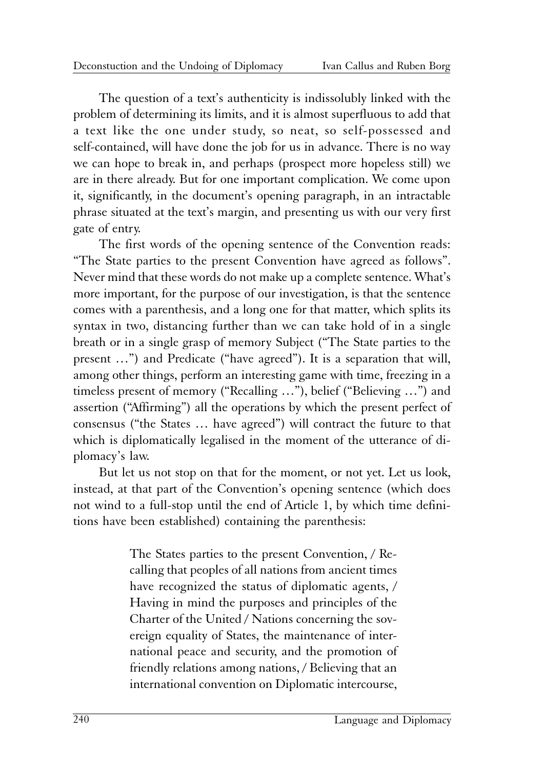The question of a text's authenticity is indissolubly linked with the problem of determining its limits, and it is almost superfluous to add that a text like the one under study, so neat, so self-possessed and self-contained, will have done the job for us in advance. There is no way we can hope to break in, and perhaps (prospect more hopeless still) we are in there already. But for one important complication. We come upon it, significantly, in the document's opening paragraph, in an intractable phrase situated at the text's margin, and presenting us with our very first gate of entry.

The first words of the opening sentence of the Convention reads: "The State parties to the present Convention have agreed as follows". Never mind that these words do not make up a complete sentence. What's more important, for the purpose of our investigation, is that the sentence comes with a parenthesis, and a long one for that matter, which splits its syntax in two, distancing further than we can take hold of in a single breath or in a single grasp of memory Subject ("The State parties to the present …") and Predicate ("have agreed"). It is a separation that will, among other things, perform an interesting game with time, freezing in a timeless present of memory ("Recalling …"), belief ("Believing …") and assertion ("Affirming") all the operations by which the present perfect of consensus ("the States … have agreed") will contract the future to that which is diplomatically legalised in the moment of the utterance of diplomacy's law.

But let us not stop on that for the moment, or not yet. Let us look, instead, at that part of the Convention's opening sentence (which does not wind to a full-stop until the end of Article 1, by which time definitions have been established) containing the parenthesis:

> The States parties to the present Convention, / Recalling that peoples of all nations from ancient times have recognized the status of diplomatic agents, / Having in mind the purposes and principles of the Charter of the United / Nations concerning the sovereign equality of States, the maintenance of international peace and security, and the promotion of friendly relations among nations, / Believing that an international convention on Diplomatic intercourse,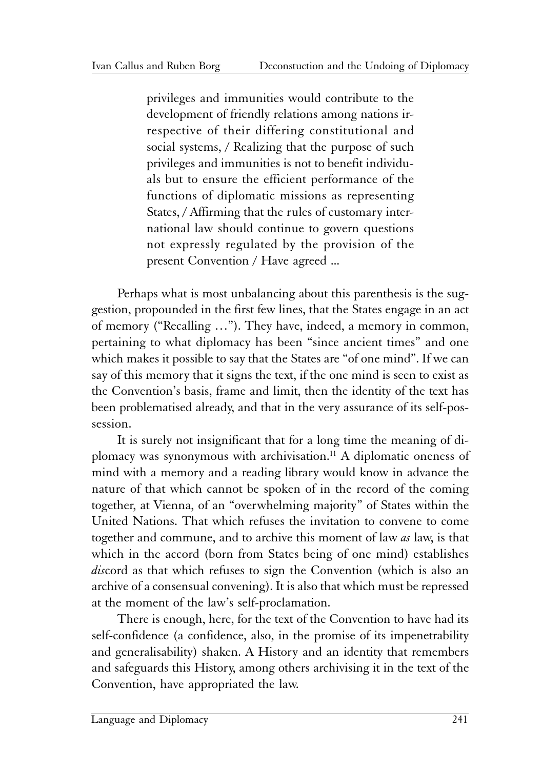privileges and immunities would contribute to the development of friendly relations among nations irrespective of their differing constitutional and social systems, / Realizing that the purpose of such privileges and immunities is not to benefit individuals but to ensure the efficient performance of the functions of diplomatic missions as representing States, / Affirming that the rules of customary international law should continue to govern questions not expressly regulated by the provision of the present Convention / Have agreed ...

Perhaps what is most unbalancing about this parenthesis is the suggestion, propounded in the first few lines, that the States engage in an act of memory ("Recalling …"). They have, indeed, a memory in common, pertaining to what diplomacy has been "since ancient times" and one which makes it possible to say that the States are "of one mind". If we can say of this memory that it signs the text, if the one mind is seen to exist as the Convention's basis, frame and limit, then the identity of the text has been problematised already, and that in the very assurance of its self-possession.

It is surely not insignificant that for a long time the meaning of diplomacy was synonymous with archivisation.11 A diplomatic oneness of mind with a memory and a reading library would know in advance the nature of that which cannot be spoken of in the record of the coming together, at Vienna, of an "overwhelming majority" of States within the United Nations. That which refuses the invitation to convene to come together and commune, and to archive this moment of law *as* law, is that which in the accord (born from States being of one mind) establishes *dis*cord as that which refuses to sign the Convention (which is also an archive of a consensual convening). It is also that which must be repressed at the moment of the law's self-proclamation.

There is enough, here, for the text of the Convention to have had its self-confidence (a confidence, also, in the promise of its impenetrability and generalisability) shaken. A History and an identity that remembers and safeguards this History, among others archivising it in the text of the Convention, have appropriated the law.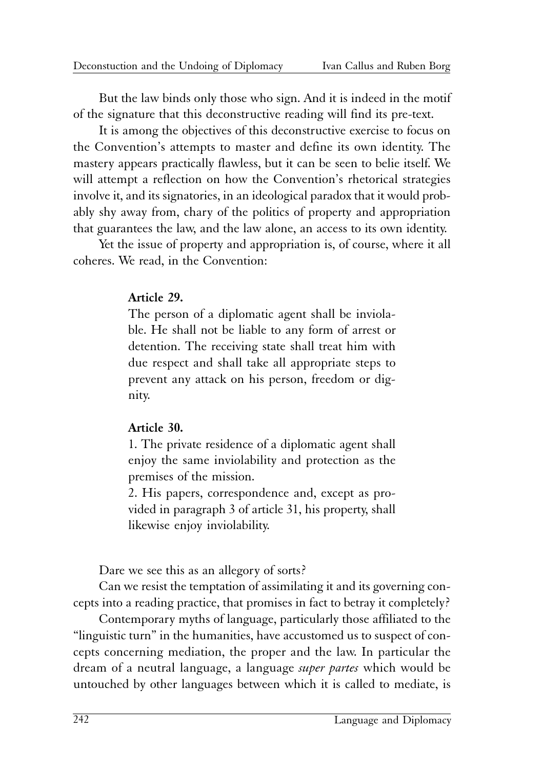But the law binds only those who sign. And it is indeed in the motif of the signature that this deconstructive reading will find its pre-text.

It is among the objectives of this deconstructive exercise to focus on the Convention's attempts to master and define its own identity. The mastery appears practically flawless, but it can be seen to belie itself. We will attempt a reflection on how the Convention's rhetorical strategies involve it, and its signatories, in an ideological paradox that it would probably shy away from, chary of the politics of property and appropriation that guarantees the law, and the law alone, an access to its own identity.

Yet the issue of property and appropriation is, of course, where it all coheres. We read, in the Convention:

#### **Article 29.**

The person of a diplomatic agent shall be inviolable. He shall not be liable to any form of arrest or detention. The receiving state shall treat him with due respect and shall take all appropriate steps to prevent any attack on his person, freedom or dignity.

#### **Article 30.**

1. The private residence of a diplomatic agent shall enjoy the same inviolability and protection as the premises of the mission.

2. His papers, correspondence and, except as provided in paragraph 3 of article 31, his property, shall likewise enjoy inviolability.

Dare we see this as an allegory of sorts?

Can we resist the temptation of assimilating it and its governing concepts into a reading practice, that promises in fact to betray it completely?

Contemporary myths of language, particularly those affiliated to the "linguistic turn" in the humanities, have accustomed us to suspect of concepts concerning mediation, the proper and the law. In particular the dream of a neutral language, a language *super partes* which would be untouched by other languages between which it is called to mediate, is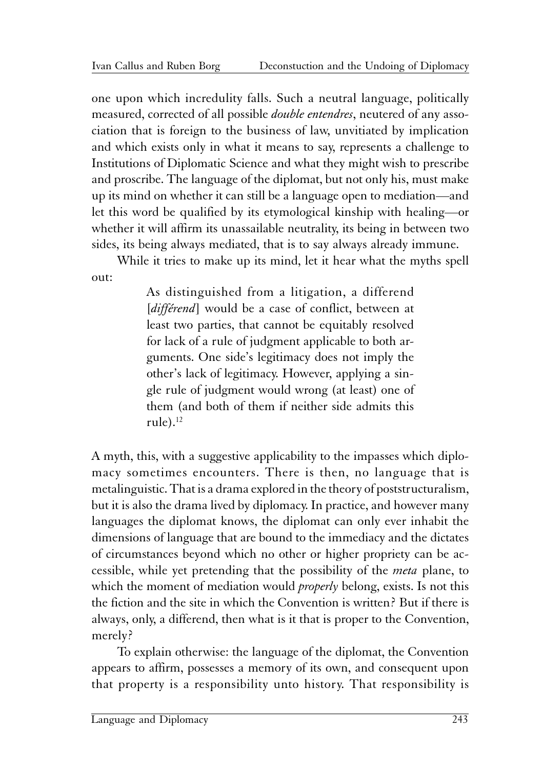one upon which incredulity falls. Such a neutral language, politically measured, corrected of all possible *double entendres*, neutered of any association that is foreign to the business of law, unvitiated by implication and which exists only in what it means to say, represents a challenge to Institutions of Diplomatic Science and what they might wish to prescribe and proscribe. The language of the diplomat, but not only his, must make up its mind on whether it can still be a language open to mediation—and let this word be qualified by its etymological kinship with healing—or whether it will affirm its unassailable neutrality, its being in between two sides, its being always mediated, that is to say always already immune.

While it tries to make up its mind, let it hear what the myths spell out:

> As distinguished from a litigation, a differend [*différend*] would be a case of conflict, between at least two parties, that cannot be equitably resolved for lack of a rule of judgment applicable to both arguments. One side's legitimacy does not imply the other's lack of legitimacy. However, applying a single rule of judgment would wrong (at least) one of them (and both of them if neither side admits this  $rule)$ <sup>12</sup>

A myth, this, with a suggestive applicability to the impasses which diplomacy sometimes encounters. There is then, no language that is metalinguistic. That is a drama explored in the theory of poststructuralism, but it is also the drama lived by diplomacy. In practice, and however many languages the diplomat knows, the diplomat can only ever inhabit the dimensions of language that are bound to the immediacy and the dictates of circumstances beyond which no other or higher propriety can be accessible, while yet pretending that the possibility of the *meta* plane, to which the moment of mediation would *properly* belong, exists. Is not this the fiction and the site in which the Convention is written? But if there is always, only, a differend, then what is it that is proper to the Convention, merely?

To explain otherwise: the language of the diplomat, the Convention appears to affirm, possesses a memory of its own, and consequent upon that property is a responsibility unto history. That responsibility is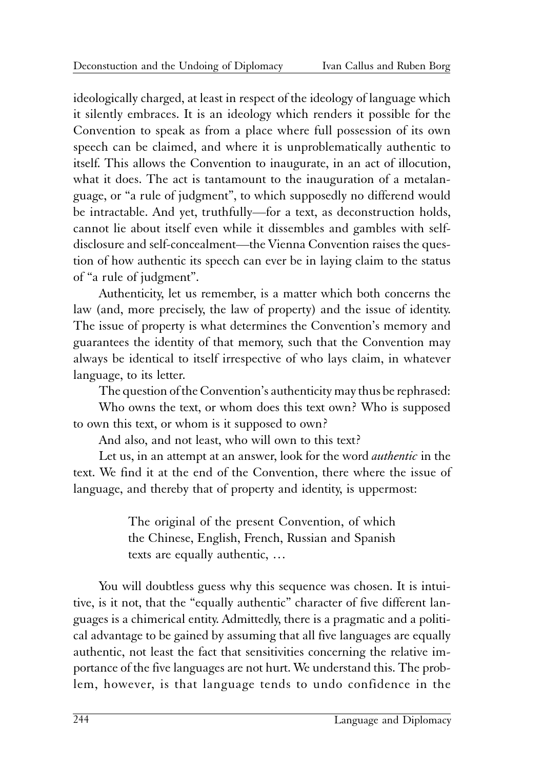ideologically charged, at least in respect of the ideology of language which it silently embraces. It is an ideology which renders it possible for the Convention to speak as from a place where full possession of its own speech can be claimed, and where it is unproblematically authentic to itself. This allows the Convention to inaugurate, in an act of illocution, what it does. The act is tantamount to the inauguration of a metalanguage, or "a rule of judgment", to which supposedly no differend would be intractable. And yet, truthfully—for a text, as deconstruction holds, cannot lie about itself even while it dissembles and gambles with selfdisclosure and self-concealment—the Vienna Convention raises the question of how authentic its speech can ever be in laying claim to the status of "a rule of judgment".

Authenticity, let us remember, is a matter which both concerns the law (and, more precisely, the law of property) and the issue of identity. The issue of property is what determines the Convention's memory and guarantees the identity of that memory, such that the Convention may always be identical to itself irrespective of who lays claim, in whatever language, to its letter.

The question of the Convention's authenticity may thus be rephrased:

Who owns the text, or whom does this text own? Who is supposed to own this text, or whom is it supposed to own?

And also, and not least, who will own to this text?

Let us, in an attempt at an answer, look for the word *authentic* in the text. We find it at the end of the Convention, there where the issue of language, and thereby that of property and identity, is uppermost:

> The original of the present Convention, of which the Chinese, English, French, Russian and Spanish texts are equally authentic, …

You will doubtless guess why this sequence was chosen. It is intuitive, is it not, that the "equally authentic" character of five different languages is a chimerical entity. Admittedly, there is a pragmatic and a political advantage to be gained by assuming that all five languages are equally authentic, not least the fact that sensitivities concerning the relative importance of the five languages are not hurt. We understand this. The problem, however, is that language tends to undo confidence in the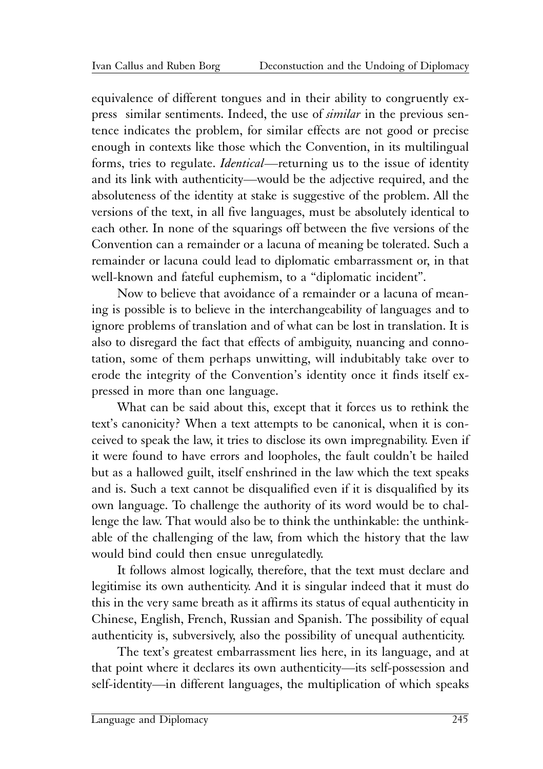equivalence of different tongues and in their ability to congruently express similar sentiments. Indeed, the use of *similar* in the previous sentence indicates the problem, for similar effects are not good or precise enough in contexts like those which the Convention, in its multilingual forms, tries to regulate. *Identical*—returning us to the issue of identity and its link with authenticity—would be the adjective required, and the absoluteness of the identity at stake is suggestive of the problem. All the versions of the text, in all five languages, must be absolutely identical to each other. In none of the squarings off between the five versions of the Convention can a remainder or a lacuna of meaning be tolerated. Such a remainder or lacuna could lead to diplomatic embarrassment or, in that well-known and fateful euphemism, to a "diplomatic incident".

Now to believe that avoidance of a remainder or a lacuna of meaning is possible is to believe in the interchangeability of languages and to ignore problems of translation and of what can be lost in translation. It is also to disregard the fact that effects of ambiguity, nuancing and connotation, some of them perhaps unwitting, will indubitably take over to erode the integrity of the Convention's identity once it finds itself expressed in more than one language.

What can be said about this, except that it forces us to rethink the text's canonicity? When a text attempts to be canonical, when it is conceived to speak the law, it tries to disclose its own impregnability. Even if it were found to have errors and loopholes, the fault couldn't be hailed but as a hallowed guilt, itself enshrined in the law which the text speaks and is. Such a text cannot be disqualified even if it is disqualified by its own language. To challenge the authority of its word would be to challenge the law. That would also be to think the unthinkable: the unthinkable of the challenging of the law, from which the history that the law would bind could then ensue unregulatedly.

It follows almost logically, therefore, that the text must declare and legitimise its own authenticity. And it is singular indeed that it must do this in the very same breath as it affirms its status of equal authenticity in Chinese, English, French, Russian and Spanish. The possibility of equal authenticity is, subversively, also the possibility of unequal authenticity.

The text's greatest embarrassment lies here, in its language, and at that point where it declares its own authenticity—its self-possession and self-identity—in different languages, the multiplication of which speaks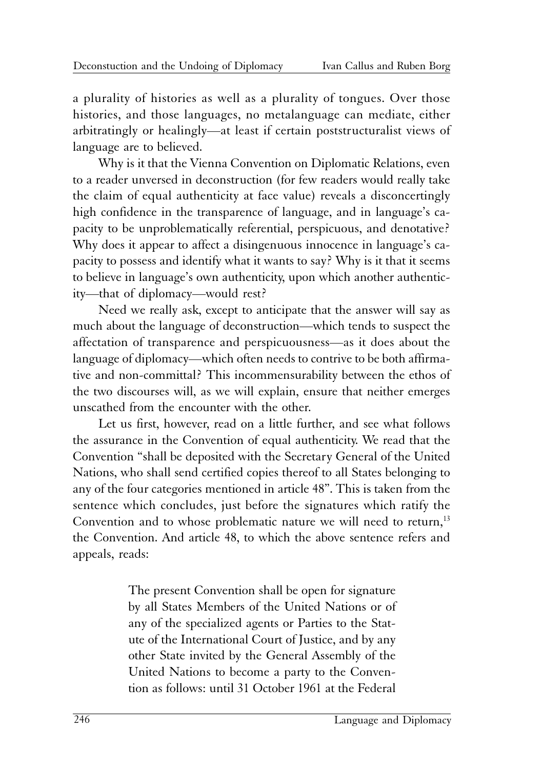a plurality of histories as well as a plurality of tongues. Over those histories, and those languages, no metalanguage can mediate, either arbitratingly or healingly—at least if certain poststructuralist views of language are to believed.

Why is it that the Vienna Convention on Diplomatic Relations, even to a reader unversed in deconstruction (for few readers would really take the claim of equal authenticity at face value) reveals a disconcertingly high confidence in the transparence of language, and in language's capacity to be unproblematically referential, perspicuous, and denotative? Why does it appear to affect a disingenuous innocence in language's capacity to possess and identify what it wants to say? Why is it that it seems to believe in language's own authenticity, upon which another authenticity—that of diplomacy—would rest?

Need we really ask, except to anticipate that the answer will say as much about the language of deconstruction—which tends to suspect the affectation of transparence and perspicuousness—as it does about the language of diplomacy—which often needs to contrive to be both affirmative and non-committal? This incommensurability between the ethos of the two discourses will, as we will explain, ensure that neither emerges unscathed from the encounter with the other.

Let us first, however, read on a little further, and see what follows the assurance in the Convention of equal authenticity. We read that the Convention "shall be deposited with the Secretary General of the United Nations, who shall send certified copies thereof to all States belonging to any of the four categories mentioned in article 48". This is taken from the sentence which concludes, just before the signatures which ratify the Convention and to whose problematic nature we will need to return,<sup>13</sup> the Convention. And article 48, to which the above sentence refers and appeals, reads:

> The present Convention shall be open for signature by all States Members of the United Nations or of any of the specialized agents or Parties to the Statute of the International Court of Justice, and by any other State invited by the General Assembly of the United Nations to become a party to the Convention as follows: until 31 October 1961 at the Federal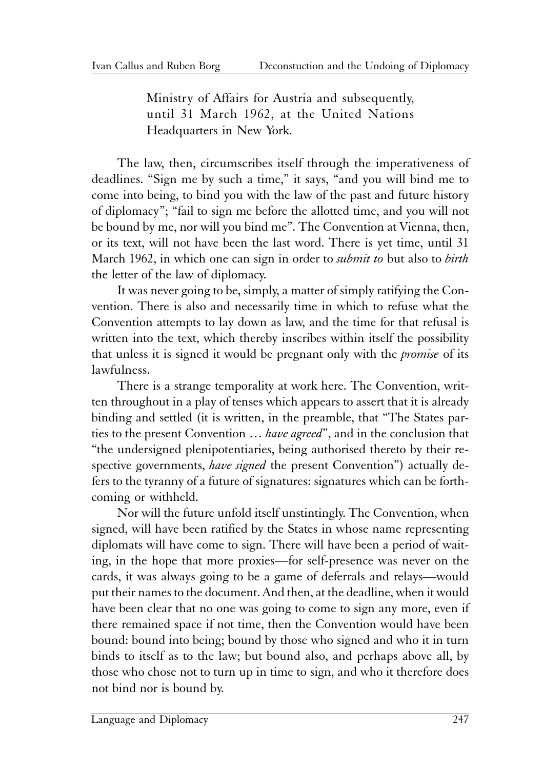Ministry of Affairs for Austria and subsequently, until 31 March 1962, at the United Nations Headquarters in New York.

The law, then, circumscribes itself through the imperativeness of deadlines. "Sign me by such a time," it says, "and you will bind me to come into being, to bind you with the law of the past and future history of diplomacy"; "fail to sign me before the allotted time, and you will not be bound by me, nor will you bind me". The Convention at Vienna, then, or its text, will not have been the last word. There is yet time, until 31 March 1962, in which one can sign in order to *submit to* but also to *birth* the letter of the law of diplomacy.

It was never going to be, simply, a matter of simply ratifying the Convention. There is also and necessarily time in which to refuse what the Convention attempts to lay down as law, and the time for that refusal is written into the text, which thereby inscribes within itself the possibility that unless it is signed it would be pregnant only with the *promise* of its lawfulness.

There is a strange temporality at work here. The Convention, written throughout in a play of tenses which appears to assert that it is already binding and settled (it is written, in the preamble, that "The States parties to the present Convention … *have agreed*", and in the conclusion that "the undersigned plenipotentiaries, being authorised thereto by their respective governments, *have signed* the present Convention") actually defers to the tyranny of a future of signatures: signatures which can be forthcoming or withheld.

Nor will the future unfold itself unstintingly. The Convention, when signed, will have been ratified by the States in whose name representing diplomats will have come to sign. There will have been a period of waiting, in the hope that more proxies—for self-presence was never on the cards, it was always going to be a game of deferrals and relays—would put their names to the document. And then, at the deadline, when it would have been clear that no one was going to come to sign any more, even if there remained space if not time, then the Convention would have been bound: bound into being; bound by those who signed and who it in turn binds to itself as to the law; but bound also, and perhaps above all, by those who chose not to turn up in time to sign, and who it therefore does not bind nor is bound by.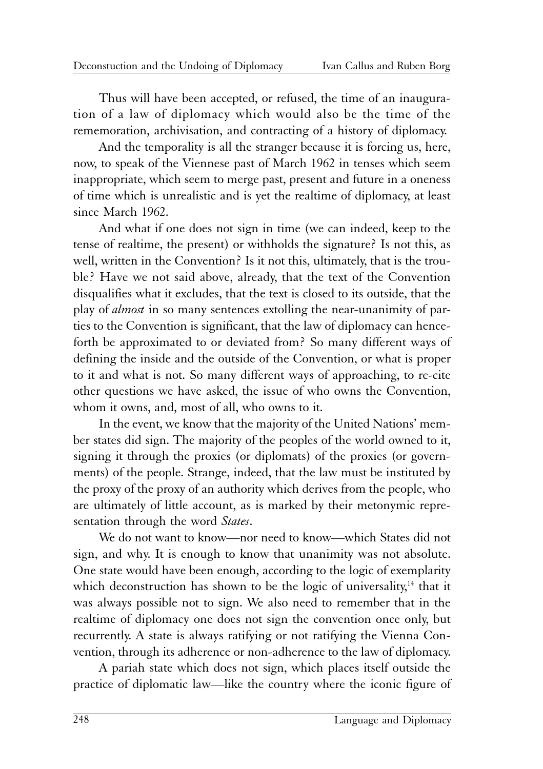Thus will have been accepted, or refused, the time of an inauguration of a law of diplomacy which would also be the time of the rememoration, archivisation, and contracting of a history of diplomacy.

And the temporality is all the stranger because it is forcing us, here, now, to speak of the Viennese past of March 1962 in tenses which seem inappropriate, which seem to merge past, present and future in a oneness of time which is unrealistic and is yet the realtime of diplomacy, at least since March 1962.

And what if one does not sign in time (we can indeed, keep to the tense of realtime, the present) or withholds the signature? Is not this, as well, written in the Convention? Is it not this, ultimately, that is the trouble? Have we not said above, already, that the text of the Convention disqualifies what it excludes, that the text is closed to its outside, that the play of *almost* in so many sentences extolling the near-unanimity of parties to the Convention is significant, that the law of diplomacy can henceforth be approximated to or deviated from? So many different ways of defining the inside and the outside of the Convention, or what is proper to it and what is not. So many different ways of approaching, to re-cite other questions we have asked, the issue of who owns the Convention, whom it owns, and, most of all, who owns to it.

In the event, we know that the majority of the United Nations' member states did sign. The majority of the peoples of the world owned to it, signing it through the proxies (or diplomats) of the proxies (or governments) of the people. Strange, indeed, that the law must be instituted by the proxy of the proxy of an authority which derives from the people, who are ultimately of little account, as is marked by their metonymic representation through the word *States*.

We do not want to know—nor need to know—which States did not sign, and why. It is enough to know that unanimity was not absolute. One state would have been enough, according to the logic of exemplarity which deconstruction has shown to be the logic of universality, $14$  that it was always possible not to sign. We also need to remember that in the realtime of diplomacy one does not sign the convention once only, but recurrently. A state is always ratifying or not ratifying the Vienna Convention, through its adherence or non-adherence to the law of diplomacy.

A pariah state which does not sign, which places itself outside the practice of diplomatic law—like the country where the iconic figure of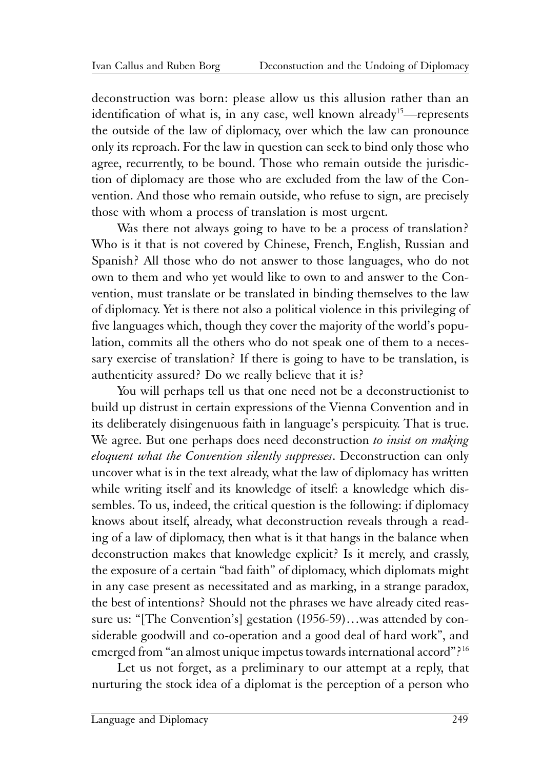deconstruction was born: please allow us this allusion rather than an identification of what is, in any case, well known already<sup>15</sup>—represents the outside of the law of diplomacy, over which the law can pronounce only its reproach. For the law in question can seek to bind only those who agree, recurrently, to be bound. Those who remain outside the jurisdiction of diplomacy are those who are excluded from the law of the Convention. And those who remain outside, who refuse to sign, are precisely those with whom a process of translation is most urgent.

Was there not always going to have to be a process of translation? Who is it that is not covered by Chinese, French, English, Russian and Spanish? All those who do not answer to those languages, who do not own to them and who yet would like to own to and answer to the Convention, must translate or be translated in binding themselves to the law of diplomacy. Yet is there not also a political violence in this privileging of five languages which, though they cover the majority of the world's population, commits all the others who do not speak one of them to a necessary exercise of translation? If there is going to have to be translation, is authenticity assured? Do we really believe that it is?

You will perhaps tell us that one need not be a deconstructionist to build up distrust in certain expressions of the Vienna Convention and in its deliberately disingenuous faith in language's perspicuity. That is true. We agree. But one perhaps does need deconstruction *to insist on making eloquent what the Convention silently suppresses*. Deconstruction can only uncover what is in the text already, what the law of diplomacy has written while writing itself and its knowledge of itself: a knowledge which dissembles. To us, indeed, the critical question is the following: if diplomacy knows about itself, already, what deconstruction reveals through a reading of a law of diplomacy, then what is it that hangs in the balance when deconstruction makes that knowledge explicit? Is it merely, and crassly, the exposure of a certain "bad faith" of diplomacy, which diplomats might in any case present as necessitated and as marking, in a strange paradox, the best of intentions? Should not the phrases we have already cited reassure us: "[The Convention's] gestation (1956-59)…was attended by considerable goodwill and co-operation and a good deal of hard work", and emerged from "an almost unique impetus towards international accord"?16

Let us not forget, as a preliminary to our attempt at a reply, that nurturing the stock idea of a diplomat is the perception of a person who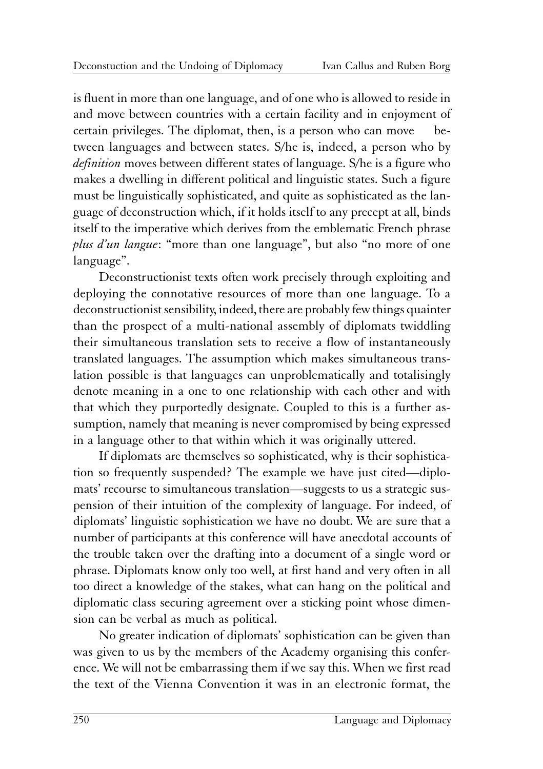is fluent in more than one language, and of one who is allowed to reside in and move between countries with a certain facility and in enjoyment of certain privileges. The diplomat, then, is a person who can move between languages and between states. S/he is, indeed, a person who by *definition* moves between different states of language. S/he is a figure who makes a dwelling in different political and linguistic states. Such a figure must be linguistically sophisticated, and quite as sophisticated as the language of deconstruction which, if it holds itself to any precept at all, binds itself to the imperative which derives from the emblematic French phrase *plus d'un langue*: "more than one language", but also "no more of one language".

Deconstructionist texts often work precisely through exploiting and deploying the connotative resources of more than one language. To a deconstructionist sensibility, indeed, there are probably few things quainter than the prospect of a multi-national assembly of diplomats twiddling their simultaneous translation sets to receive a flow of instantaneously translated languages. The assumption which makes simultaneous translation possible is that languages can unproblematically and totalisingly denote meaning in a one to one relationship with each other and with that which they purportedly designate. Coupled to this is a further assumption, namely that meaning is never compromised by being expressed in a language other to that within which it was originally uttered.

If diplomats are themselves so sophisticated, why is their sophistication so frequently suspended? The example we have just cited—diplomats' recourse to simultaneous translation—suggests to us a strategic suspension of their intuition of the complexity of language. For indeed, of diplomats' linguistic sophistication we have no doubt. We are sure that a number of participants at this conference will have anecdotal accounts of the trouble taken over the drafting into a document of a single word or phrase. Diplomats know only too well, at first hand and very often in all too direct a knowledge of the stakes, what can hang on the political and diplomatic class securing agreement over a sticking point whose dimension can be verbal as much as political.

No greater indication of diplomats' sophistication can be given than was given to us by the members of the Academy organising this conference. We will not be embarrassing them if we say this. When we first read the text of the Vienna Convention it was in an electronic format, the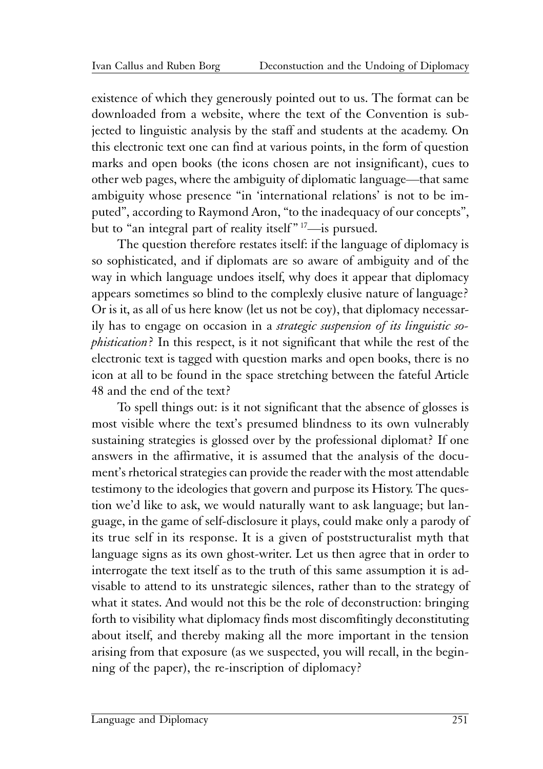existence of which they generously pointed out to us. The format can be downloaded from a website, where the text of the Convention is subjected to linguistic analysis by the staff and students at the academy. On this electronic text one can find at various points, in the form of question marks and open books (the icons chosen are not insignificant), cues to other web pages, where the ambiguity of diplomatic language—that same ambiguity whose presence "in 'international relations' is not to be imputed", according to Raymond Aron, "to the inadequacy of our concepts", but to "an integral part of reality itself" <sup>17</sup>—is pursued.

The question therefore restates itself: if the language of diplomacy is so sophisticated, and if diplomats are so aware of ambiguity and of the way in which language undoes itself, why does it appear that diplomacy appears sometimes so blind to the complexly elusive nature of language? Or is it, as all of us here know (let us not be coy), that diplomacy necessarily has to engage on occasion in a *strategic suspension of its linguistic sophistication*? In this respect, is it not significant that while the rest of the electronic text is tagged with question marks and open books, there is no icon at all to be found in the space stretching between the fateful Article 48 and the end of the text?

To spell things out: is it not significant that the absence of glosses is most visible where the text's presumed blindness to its own vulnerably sustaining strategies is glossed over by the professional diplomat? If one answers in the affirmative, it is assumed that the analysis of the document's rhetorical strategies can provide the reader with the most attendable testimony to the ideologies that govern and purpose its History. The question we'd like to ask, we would naturally want to ask language; but language, in the game of self-disclosure it plays, could make only a parody of its true self in its response. It is a given of poststructuralist myth that language signs as its own ghost-writer. Let us then agree that in order to interrogate the text itself as to the truth of this same assumption it is advisable to attend to its unstrategic silences, rather than to the strategy of what it states. And would not this be the role of deconstruction: bringing forth to visibility what diplomacy finds most discomfitingly deconstituting about itself, and thereby making all the more important in the tension arising from that exposure (as we suspected, you will recall, in the beginning of the paper), the re-inscription of diplomacy?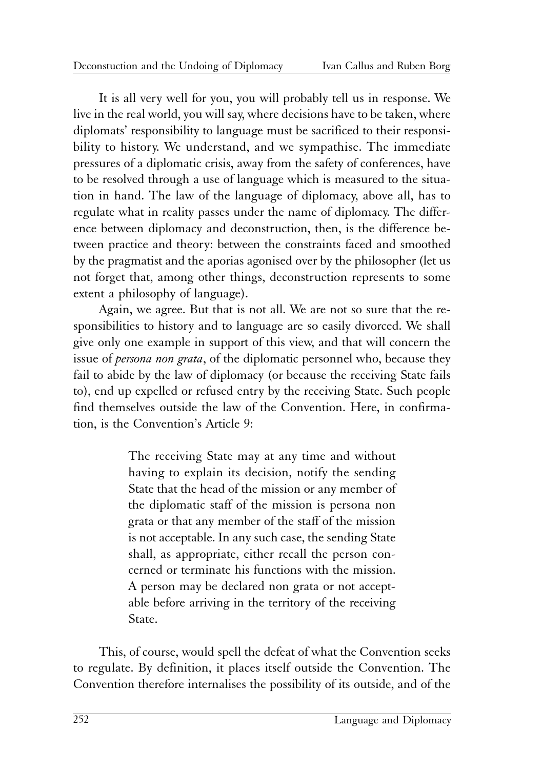It is all very well for you, you will probably tell us in response. We live in the real world, you will say, where decisions have to be taken, where diplomats' responsibility to language must be sacrificed to their responsibility to history. We understand, and we sympathise. The immediate pressures of a diplomatic crisis, away from the safety of conferences, have to be resolved through a use of language which is measured to the situation in hand. The law of the language of diplomacy, above all, has to regulate what in reality passes under the name of diplomacy. The difference between diplomacy and deconstruction, then, is the difference between practice and theory: between the constraints faced and smoothed by the pragmatist and the aporias agonised over by the philosopher (let us not forget that, among other things, deconstruction represents to some extent a philosophy of language).

Again, we agree. But that is not all. We are not so sure that the responsibilities to history and to language are so easily divorced. We shall give only one example in support of this view, and that will concern the issue of *persona non grata*, of the diplomatic personnel who, because they fail to abide by the law of diplomacy (or because the receiving State fails to), end up expelled or refused entry by the receiving State. Such people find themselves outside the law of the Convention. Here, in confirmation, is the Convention's Article 9:

> The receiving State may at any time and without having to explain its decision, notify the sending State that the head of the mission or any member of the diplomatic staff of the mission is persona non grata or that any member of the staff of the mission is not acceptable. In any such case, the sending State shall, as appropriate, either recall the person concerned or terminate his functions with the mission. A person may be declared non grata or not acceptable before arriving in the territory of the receiving State.

This, of course, would spell the defeat of what the Convention seeks to regulate. By definition, it places itself outside the Convention. The Convention therefore internalises the possibility of its outside, and of the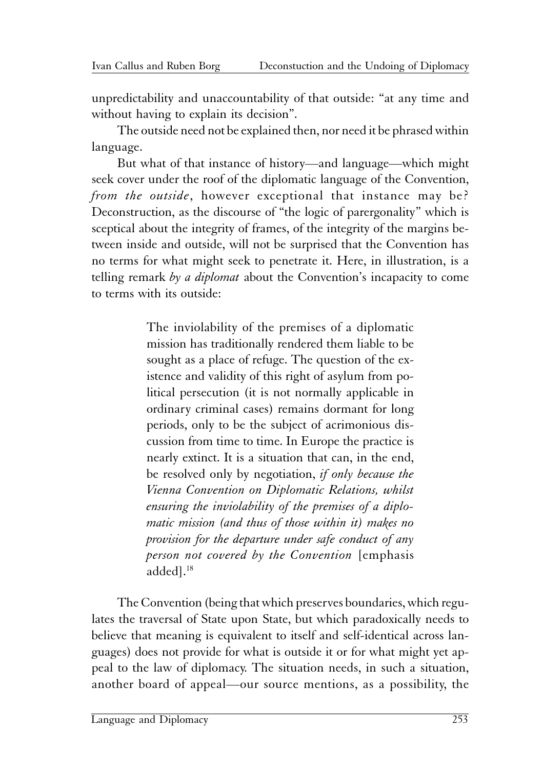unpredictability and unaccountability of that outside: "at any time and without having to explain its decision".

The outside need not be explained then, nor need it be phrased within language.

But what of that instance of history—and language—which might seek cover under the roof of the diplomatic language of the Convention, *from the outside*, however exceptional that instance may be? Deconstruction, as the discourse of "the logic of parergonality" which is sceptical about the integrity of frames, of the integrity of the margins between inside and outside, will not be surprised that the Convention has no terms for what might seek to penetrate it. Here, in illustration, is a telling remark *by a diplomat* about the Convention's incapacity to come to terms with its outside:

> The inviolability of the premises of a diplomatic mission has traditionally rendered them liable to be sought as a place of refuge. The question of the existence and validity of this right of asylum from political persecution (it is not normally applicable in ordinary criminal cases) remains dormant for long periods, only to be the subject of acrimonious discussion from time to time. In Europe the practice is nearly extinct. It is a situation that can, in the end, be resolved only by negotiation, *if only because the Vienna Convention on Diplomatic Relations, whilst ensuring the inviolability of the premises of a diplomatic mission (and thus of those within it) makes no provision for the departure under safe conduct of any person not covered by the Convention* [emphasis added].18

The Convention (being that which preserves boundaries, which regulates the traversal of State upon State, but which paradoxically needs to believe that meaning is equivalent to itself and self-identical across languages) does not provide for what is outside it or for what might yet appeal to the law of diplomacy. The situation needs, in such a situation, another board of appeal—our source mentions, as a possibility, the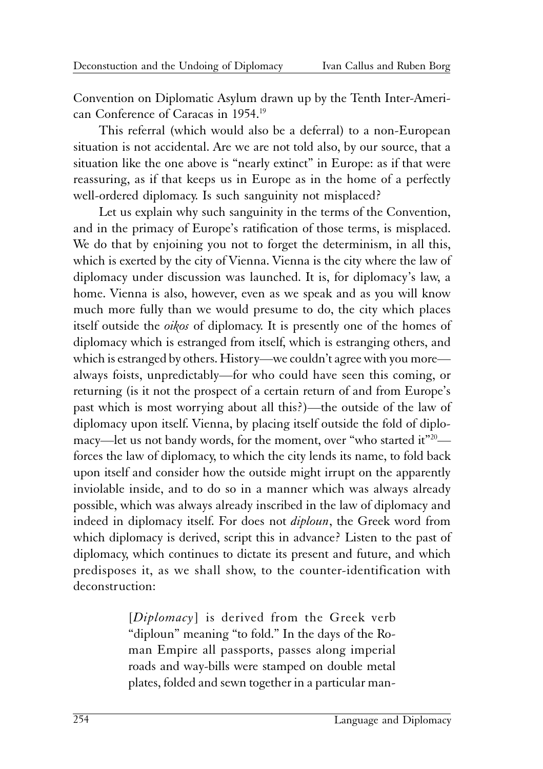Convention on Diplomatic Asylum drawn up by the Tenth Inter-American Conference of Caracas in 1954.19

This referral (which would also be a deferral) to a non-European situation is not accidental. Are we are not told also, by our source, that a situation like the one above is "nearly extinct" in Europe: as if that were reassuring, as if that keeps us in Europe as in the home of a perfectly well-ordered diplomacy. Is such sanguinity not misplaced?

Let us explain why such sanguinity in the terms of the Convention, and in the primacy of Europe's ratification of those terms, is misplaced. We do that by enjoining you not to forget the determinism, in all this, which is exerted by the city of Vienna. Vienna is the city where the law of diplomacy under discussion was launched. It is, for diplomacy's law, a home. Vienna is also, however, even as we speak and as you will know much more fully than we would presume to do, the city which places itself outside the *oikos* of diplomacy. It is presently one of the homes of diplomacy which is estranged from itself, which is estranging others, and which is estranged by others. History—we couldn't agree with you more always foists, unpredictably—for who could have seen this coming, or returning (is it not the prospect of a certain return of and from Europe's past which is most worrying about all this?)—the outside of the law of diplomacy upon itself. Vienna, by placing itself outside the fold of diplomacy—let us not bandy words, for the moment, over "who started it"<sup>20</sup> forces the law of diplomacy, to which the city lends its name, to fold back upon itself and consider how the outside might irrupt on the apparently inviolable inside, and to do so in a manner which was always already possible, which was always already inscribed in the law of diplomacy and indeed in diplomacy itself. For does not *diploun*, the Greek word from which diplomacy is derived, script this in advance? Listen to the past of diplomacy, which continues to dictate its present and future, and which predisposes it, as we shall show, to the counter-identification with deconstruction:

> [*Diplomacy*] is derived from the Greek verb "diploun" meaning "to fold." In the days of the Roman Empire all passports, passes along imperial roads and way-bills were stamped on double metal plates, folded and sewn together in a particular man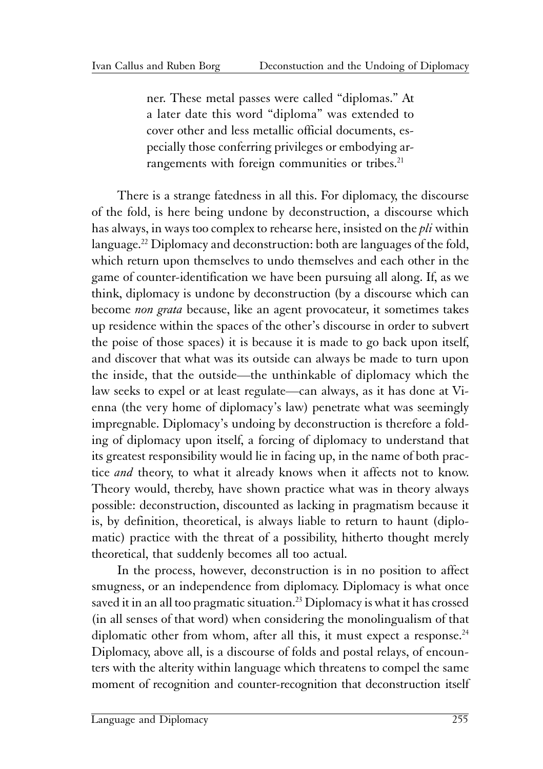ner. These metal passes were called "diplomas." At a later date this word "diploma" was extended to cover other and less metallic official documents, especially those conferring privileges or embodying arrangements with foreign communities or tribes.<sup>21</sup>

There is a strange fatedness in all this. For diplomacy, the discourse of the fold, is here being undone by deconstruction, a discourse which has always, in ways too complex to rehearse here, insisted on the *pli* within language.<sup>22</sup> Diplomacy and deconstruction: both are languages of the fold, which return upon themselves to undo themselves and each other in the game of counter-identification we have been pursuing all along. If, as we think, diplomacy is undone by deconstruction (by a discourse which can become *non grata* because, like an agent provocateur, it sometimes takes up residence within the spaces of the other's discourse in order to subvert the poise of those spaces) it is because it is made to go back upon itself, and discover that what was its outside can always be made to turn upon the inside, that the outside—the unthinkable of diplomacy which the law seeks to expel or at least regulate—can always, as it has done at Vienna (the very home of diplomacy's law) penetrate what was seemingly impregnable. Diplomacy's undoing by deconstruction is therefore a folding of diplomacy upon itself, a forcing of diplomacy to understand that its greatest responsibility would lie in facing up, in the name of both practice *and* theory, to what it already knows when it affects not to know. Theory would, thereby, have shown practice what was in theory always possible: deconstruction, discounted as lacking in pragmatism because it is, by definition, theoretical, is always liable to return to haunt (diplomatic) practice with the threat of a possibility, hitherto thought merely theoretical, that suddenly becomes all too actual.

In the process, however, deconstruction is in no position to affect smugness, or an independence from diplomacy. Diplomacy is what once saved it in an all too pragmatic situation.<sup>23</sup> Diplomacy is what it has crossed (in all senses of that word) when considering the monolingualism of that diplomatic other from whom, after all this, it must expect a response.<sup>24</sup> Diplomacy, above all, is a discourse of folds and postal relays, of encounters with the alterity within language which threatens to compel the same moment of recognition and counter-recognition that deconstruction itself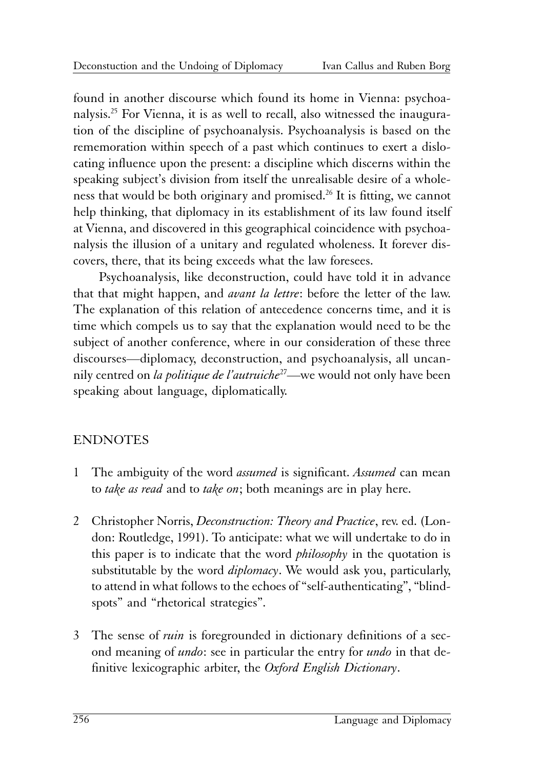found in another discourse which found its home in Vienna: psychoanalysis.25 For Vienna, it is as well to recall, also witnessed the inauguration of the discipline of psychoanalysis. Psychoanalysis is based on the rememoration within speech of a past which continues to exert a dislocating influence upon the present: a discipline which discerns within the speaking subject's division from itself the unrealisable desire of a wholeness that would be both originary and promised.<sup>26</sup> It is fitting, we cannot help thinking, that diplomacy in its establishment of its law found itself at Vienna, and discovered in this geographical coincidence with psychoanalysis the illusion of a unitary and regulated wholeness. It forever discovers, there, that its being exceeds what the law foresees.

Psychoanalysis, like deconstruction, could have told it in advance that that might happen, and *avant la lettre*: before the letter of the law. The explanation of this relation of antecedence concerns time, and it is time which compels us to say that the explanation would need to be the subject of another conference, where in our consideration of these three discourses—diplomacy, deconstruction, and psychoanalysis, all uncannily centred on *la politique de l'autruiche*27—we would not only have been speaking about language, diplomatically.

### ENDNOTES

- 1 The ambiguity of the word *assumed* is significant. *Assumed* can mean to *take as read* and to *take on*; both meanings are in play here.
- 2 Christopher Norris, *Deconstruction: Theory and Practice*, rev. ed. (London: Routledge, 1991). To anticipate: what we will undertake to do in this paper is to indicate that the word *philosophy* in the quotation is substitutable by the word *diplomacy*. We would ask you, particularly, to attend in what follows to the echoes of "self-authenticating", "blindspots" and "rhetorical strategies".
- 3 The sense of *ruin* is foregrounded in dictionary definitions of a second meaning of *undo*: see in particular the entry for *undo* in that definitive lexicographic arbiter, the *Oxford English Dictionary*.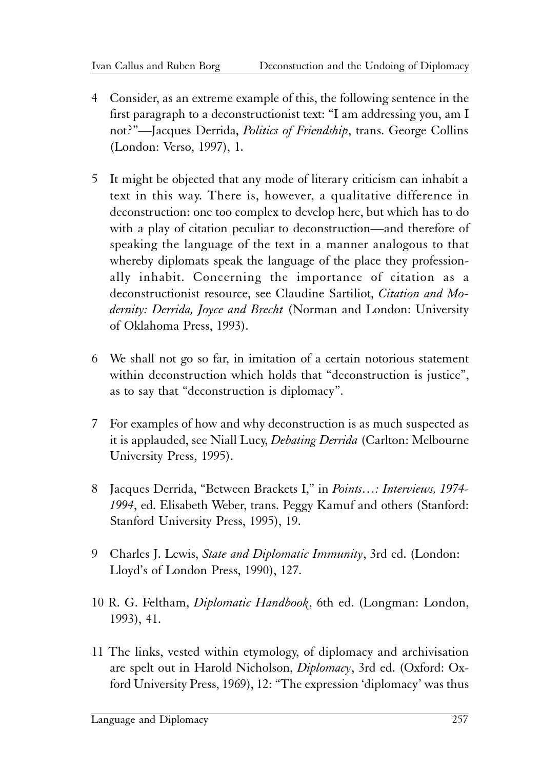- 4 Consider, as an extreme example of this, the following sentence in the first paragraph to a deconstructionist text: "I am addressing you, am I not?"—Jacques Derrida, *Politics of Friendship*, trans. George Collins (London: Verso, 1997), 1.
- 5 It might be objected that any mode of literary criticism can inhabit a text in this way. There is, however, a qualitative difference in deconstruction: one too complex to develop here, but which has to do with a play of citation peculiar to deconstruction—and therefore of speaking the language of the text in a manner analogous to that whereby diplomats speak the language of the place they professionally inhabit. Concerning the importance of citation as a deconstructionist resource, see Claudine Sartiliot, *Citation and Modernity: Derrida, Joyce and Brecht* (Norman and London: University of Oklahoma Press, 1993).
- 6 We shall not go so far, in imitation of a certain notorious statement within deconstruction which holds that "deconstruction is justice", as to say that "deconstruction is diplomacy".
- 7 For examples of how and why deconstruction is as much suspected as it is applauded, see Niall Lucy, *Debating Derrida* (Carlton: Melbourne University Press, 1995).
- 8 Jacques Derrida, "Between Brackets I," in *Points…: Interviews, 1974- 1994*, ed. Elisabeth Weber, trans. Peggy Kamuf and others (Stanford: Stanford University Press, 1995), 19.
- 9 Charles J. Lewis, *State and Diplomatic Immunity*, 3rd ed. (London: Lloyd's of London Press, 1990), 127.
- 10 R. G. Feltham, *Diplomatic Handbook*, 6th ed. (Longman: London, 1993), 41.
- 11 The links, vested within etymology, of diplomacy and archivisation are spelt out in Harold Nicholson, *Diplomacy*, 3rd ed. (Oxford: Oxford University Press, 1969), 12: "The expression 'diplomacy' was thus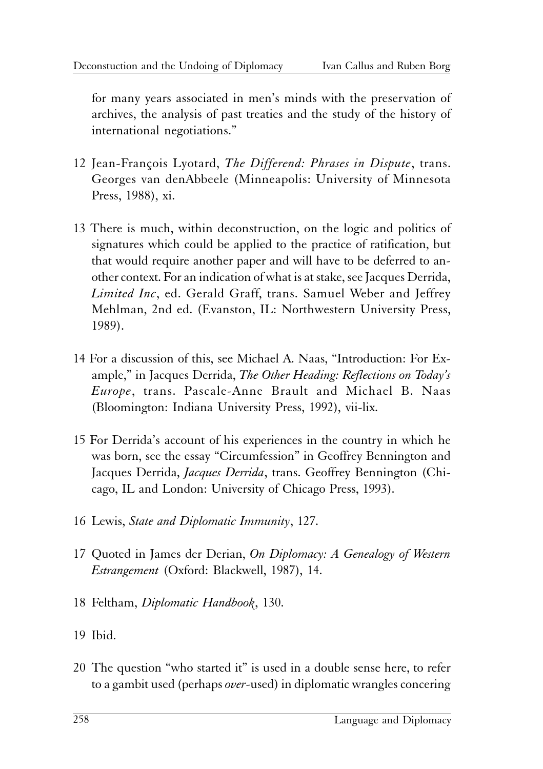for many years associated in men's minds with the preservation of archives, the analysis of past treaties and the study of the history of international negotiations."

- 12 Jean-François Lyotard, *The Differend: Phrases in Dispute*, trans. Georges van denAbbeele (Minneapolis: University of Minnesota Press, 1988), xi.
- 13 There is much, within deconstruction, on the logic and politics of signatures which could be applied to the practice of ratification, but that would require another paper and will have to be deferred to another context. For an indication of what is at stake, see Jacques Derrida, *Limited Inc*, ed. Gerald Graff, trans. Samuel Weber and Jeffrey Mehlman, 2nd ed. (Evanston, IL: Northwestern University Press, 1989).
- 14 For a discussion of this, see Michael A. Naas, "Introduction: For Example," in Jacques Derrida, *The Other Heading: Reflections on Today's Europe*, trans. Pascale-Anne Brault and Michael B. Naas (Bloomington: Indiana University Press, 1992), vii-lix.
- 15 For Derrida's account of his experiences in the country in which he was born, see the essay "Circumfession" in Geoffrey Bennington and Jacques Derrida, *Jacques Derrida*, trans. Geoffrey Bennington (Chicago, IL and London: University of Chicago Press, 1993).
- 16 Lewis, *State and Diplomatic Immunity*, 127.
- 17 Quoted in James der Derian, *On Diplomacy: A Genealogy of Western Estrangement* (Oxford: Blackwell, 1987), 14.
- 18 Feltham, *Diplomatic Handbook*, 130.
- 19 Ibid.
- 20 The question "who started it" is used in a double sense here, to refer to a gambit used (perhaps *over*-used) in diplomatic wrangles concering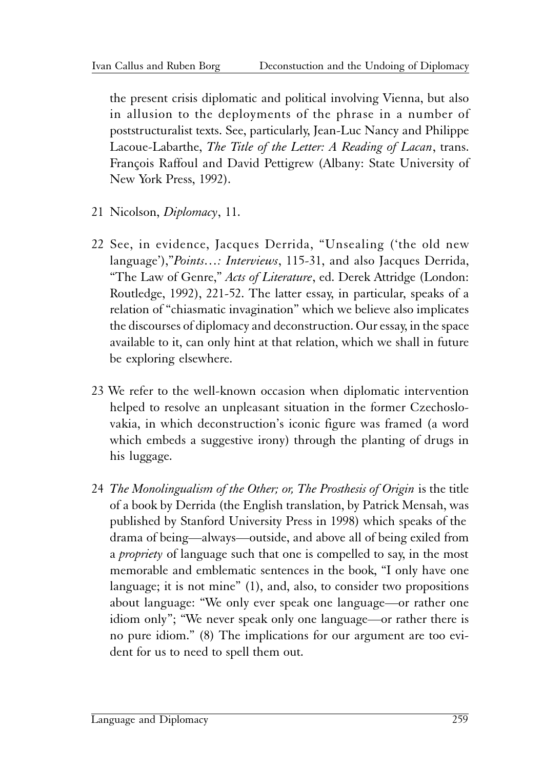the present crisis diplomatic and political involving Vienna, but also in allusion to the deployments of the phrase in a number of poststructuralist texts. See, particularly, Jean-Luc Nancy and Philippe Lacoue-Labarthe, *The Title of the Letter: A Reading of Lacan*, trans. François Raffoul and David Pettigrew (Albany: State University of New York Press, 1992).

- 21 Nicolson, *Diplomacy*, 11.
- 22 See, in evidence, Jacques Derrida, "Unsealing ('the old new language'),"*Points…: Interviews*, 115-31, and also Jacques Derrida, "The Law of Genre," *Acts of Literature*, ed. Derek Attridge (London: Routledge, 1992), 221-52. The latter essay, in particular, speaks of a relation of "chiasmatic invagination" which we believe also implicates the discourses of diplomacy and deconstruction. Our essay, in the space available to it, can only hint at that relation, which we shall in future be exploring elsewhere.
- 23 We refer to the well-known occasion when diplomatic intervention helped to resolve an unpleasant situation in the former Czechoslovakia, in which deconstruction's iconic figure was framed (a word which embeds a suggestive irony) through the planting of drugs in his luggage.
- 24 *The Monolingualism of the Other; or, The Prosthesis of Origin* is the title of a book by Derrida (the English translation, by Patrick Mensah, was published by Stanford University Press in 1998) which speaks of the drama of being—always—outside, and above all of being exiled from a *propriety* of language such that one is compelled to say, in the most memorable and emblematic sentences in the book, "I only have one language; it is not mine" (1), and, also, to consider two propositions about language: "We only ever speak one language—or rather one idiom only"; "We never speak only one language—or rather there is no pure idiom." (8) The implications for our argument are too evident for us to need to spell them out.